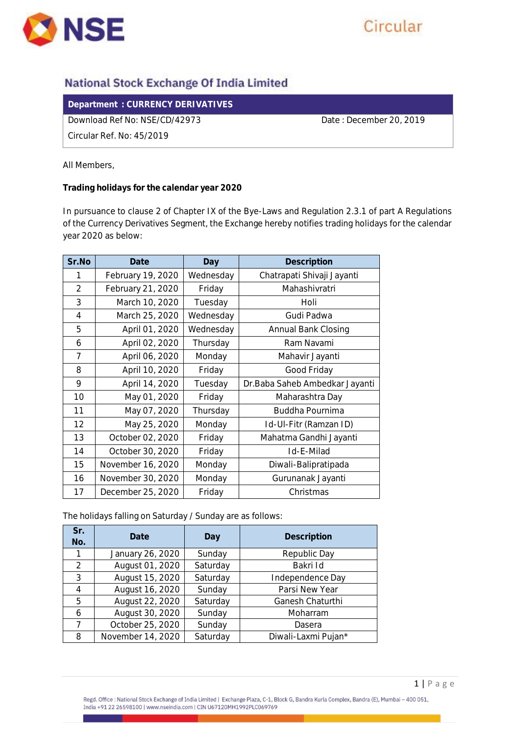

## **National Stock Exchange Of India Limited**

**Department : CURRENCY DERIVATIVES** 

Download Ref No: NSE/CD/42973 Date : December 20, 2019

Circular Ref. No: 45/2019

All Members,

**Trading holidays for the calendar year 2020**

In pursuance to clause 2 of Chapter IX of the Bye-Laws and Regulation 2.3.1 of part A Regulations of the Currency Derivatives Segment, the Exchange hereby notifies trading holidays for the calendar year 2020 as below:

| Sr.No          | Date              | Day       | Description                     |
|----------------|-------------------|-----------|---------------------------------|
|                | February 19, 2020 | Wednesday | Chatrapati Shivaji Jayanti      |
| $\overline{2}$ | February 21, 2020 | Friday    | Mahashivratri                   |
| 3              | March 10, 2020    | Tuesday   | Holi                            |
| $\overline{4}$ | March 25, 2020    | Wednesday | Gudi Padwa                      |
| 5              | April 01, 2020    | Wednesday | Annual Bank Closing             |
| 6              | April 02, 2020    | Thursday  | Ram Navami                      |
| 7              | April 06, 2020    | Monday    | Mahavir Jayanti                 |
| 8              | April 10, 2020    | Friday    | Good Friday                     |
| 9              | April 14, 2020    | Tuesday   | Dr. Baba Saheb Ambedkar Jayanti |
| 10             | May 01, 2020      | Friday    | Maharashtra Day                 |
| 11             | May 07, 2020      | Thursday  | Buddha Pournima                 |
| 12             | May 25, 2020      | Monday    | Id-UI-Fitr (Ramzan ID)          |
| 13             | October 02, 2020  | Friday    | Mahatma Gandhi Jayanti          |
| 14             | October 30, 2020  | Friday    | Id-E-Milad                      |
| 15             | November 16, 2020 | Monday    | Diwali-Balipratipada            |
| 16             | November 30, 2020 | Monday    | Gurunanak Jayanti               |
| 17             | December 25, 2020 | Friday    | Christmas                       |

The holidays falling on Saturday / Sunday are as follows:

| Sr.<br>No.    | Date              | Day      | Description         |
|---------------|-------------------|----------|---------------------|
|               | January 26, 2020  | Sunday   | Republic Day        |
| $\mathcal{P}$ | August 01, 2020   | Saturday | Bakri Id            |
| 3             | August 15, 2020   | Saturday | Independence Day    |
| 4             | August 16, 2020   | Sunday   | Parsi New Year      |
| 5             | August 22, 2020   | Saturday | Ganesh Chaturthi    |
| 6             | August 30, 2020   | Sunday   | Moharram            |
| ᄀ             | October 25, 2020  | Sunday   | Dasera              |
| 8             | November 14, 2020 | Saturday | Diwali-Laxmi Pujan* |